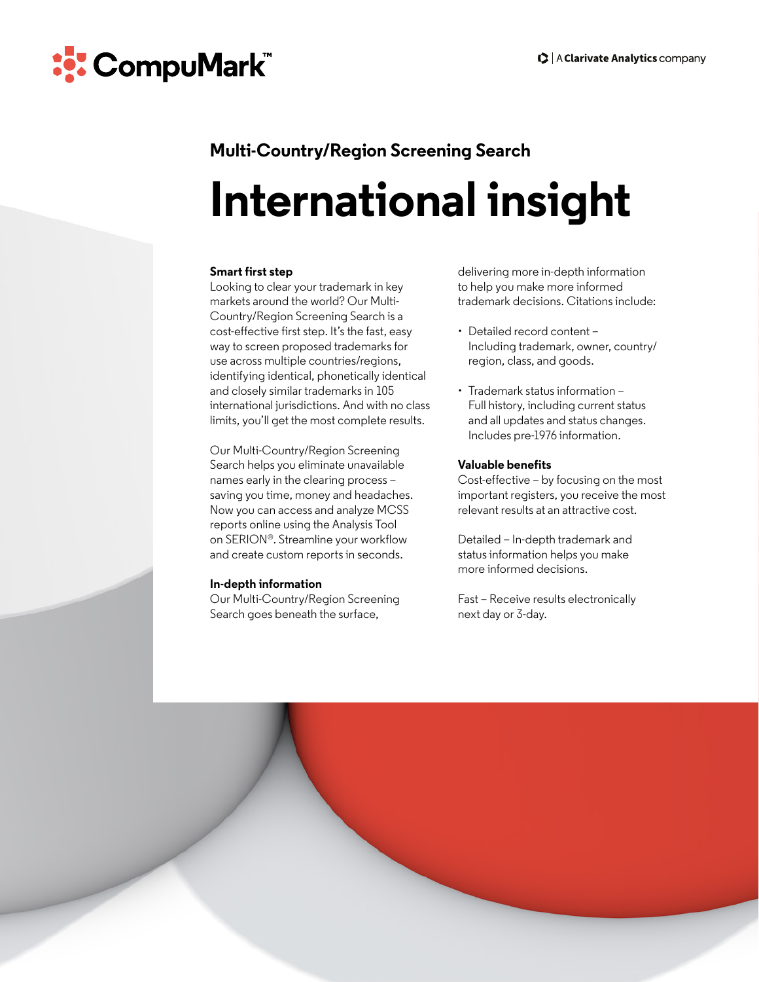

## **Multi-Country/Region Screening Search**

# **International insight**

#### **Smart first step**

Looking to clear your trademark in key markets around the world? Our Multi-Country/Region Screening Search is a cost-effective first step. It's the fast, easy way to screen proposed trademarks for use across multiple countries/regions, identifying identical, phonetically identical and closely similar trademarks in 105 international jurisdictions. And with no class limits, you'll get the most complete results.

Our Multi-Country/Region Screening Search helps you eliminate unavailable names early in the clearing process – saving you time, money and headaches. Now you can access and analyze MCSS reports online using the Analysis Tool on SERION®. Streamline your workflow and create custom reports in seconds.

#### **In-depth information**

Our Multi-Country/Region Screening Search goes beneath the surface,

delivering more in-depth information to help you make more informed trademark decisions. Citations include:

- Detailed record content Including trademark, owner, country/ region, class, and goods.
- Trademark status information Full history, including current status and all updates and status changes. Includes pre-1976 information.

#### **Valuable benefits**

Cost-effective – by focusing on the most important registers, you receive the most relevant results at an attractive cost.

Detailed – In-depth trademark and status information helps you make more informed decisions.

Fast – Receive results electronically next day or 3-day.